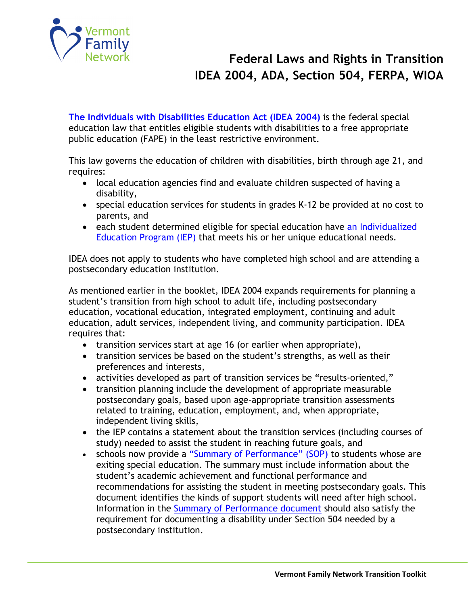

**[The Individuals with Disabilities Education Act \(IDEA 2004\)](http://idea.ed.gov/)** is the federal special education law that entitles eligible students with disabilities to a free appropriate public education (FAPE) in the least restrictive environment.

This law governs the education of children with disabilities, birth through age 21, and requires:

- local education agencies find and evaluate children suspected of having a disability,
- special education services for students in grades K-12 be provided at no cost to parents, and
- each student determined eligible for special education have an Individualized [Education Program \(IEP\)](http://www.vermontfamilynetwork.org/wp-content/uploads/2014/06/Individualized-Education-Program-IEP-Fact-sheet.pdf) that meets his or her unique educational needs.

IDEA does not apply to students who have completed high school and are attending a postsecondary education institution.

As mentioned earlier in the booklet, IDEA 2004 expands requirements for planning a student's transition from high school to adult life, including postsecondary education, vocational education, integrated employment, continuing and adult education, adult services, independent living, and community participation. IDEA requires that:

- transition services start at age 16 (or earlier when appropriate),
- transition services be based on the student's strengths, as well as their preferences and interests,
- activities developed as part of transition services be "results-oriented,"
- transition planning include the development of appropriate measurable postsecondary goals, based upon age-appropriate transition assessments related to training, education, employment, and, when appropriate, independent living skills,
- the IEP contains a statement about the transition services (including courses of study) needed to assist the student in reaching future goals, and
- schools now provide a ["Summary of Performance" \(SOP\)](http://www.wrightslaw.com/info/trans.sop.htm) to students whose are exiting special education. The summary must include information about the student's academic achievement and functional performance and recommendations for assisting the student in meeting postsecondary goals. This document identifies the kinds of support students will need after high school. Information in the [Summary of Performance](https://transitionta.org/sites/default/files/SOP%20Document%20NCDPI_final_11-14-13.pdf) document should also satisfy the requirement for documenting a disability under Section 504 needed by a postsecondary institution.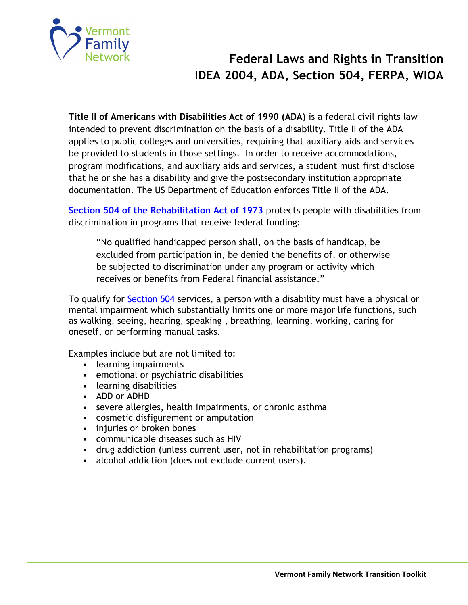

**Title II of Americans with Disabilities Act of 1990 (ADA)** is a federal civil rights law intended to prevent discrimination on the basis of a disability. Title II of the ADA applies to public colleges and universities, requiring that auxiliary aids and services be provided to students in those settings. In order to receive accommodations, program modifications, and auxiliary aids and services, a student must first disclose that he or she has a disability and give the postsecondary institution appropriate documentation. The US Department of Education enforces Title II of the ADA.

**[Section 504 of the Rehabilitation Act of 1973](http://www2.ed.gov/about/offices/list/ocr/504faq.html)** protects people with disabilities from discrimination in programs that receive federal funding:

"No qualified handicapped person shall, on the basis of handicap, be excluded from participation in, be denied the benefits of, or otherwise be subjected to discrimination under any program or activity which receives or benefits from Federal financial assistance."

To qualify for [Section 504](http://www.vermontfamilynetwork.org/wp-content/uploads/2014/07/A-Parents-Guide-to-Section-504-in-Schools-Fact-sheet.pdf) services, a person with a disability must have a physical or mental impairment which substantially limits one or more major life functions, such as walking, seeing, hearing, speaking , breathing, learning, working, caring for oneself, or performing manual tasks.

Examples include but are not limited to:

- learning impairments
- emotional or psychiatric disabilities
- learning disabilities
- ADD or ADHD
- severe allergies, health impairments, or chronic asthma
- cosmetic disfigurement or amputation
- injuries or broken bones
- communicable diseases such as HIV
- drug addiction (unless current user, not in rehabilitation programs)
- alcohol addiction (does not exclude current users).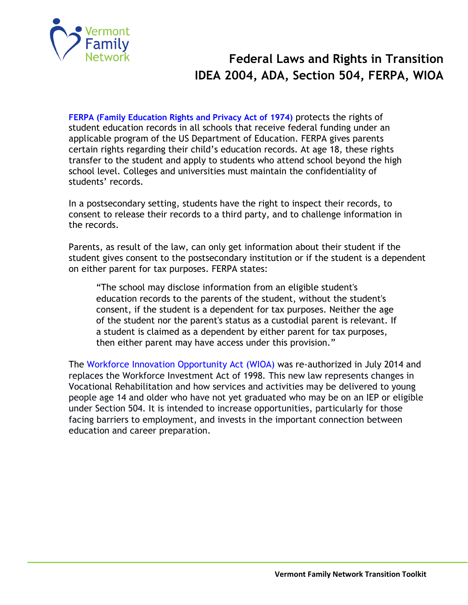

**[FERPA \(Family Education Rights and Privacy Act of 1974\)](http://www2.ed.gov/policy/gen/guid/fpco/ferpa/for-eligible-students.pdf)** protects the rights of student education records in all schools that receive federal funding under an applicable program of the US Department of Education. FERPA gives parents certain rights regarding their child's education records. At age 18, these rights transfer to the student and apply to students who attend school beyond the high school level. Colleges and universities must maintain the confidentiality of students' records.

In a postsecondary setting, students have the right to inspect their records, to consent to release their records to a third party, and to challenge information in the records.

Parents, as result of the law, can only get information about their student if the student gives consent to the postsecondary institution or if the student is a dependent on either parent for tax purposes. FERPA states:

"The school may disclose information from an eligible student's education records to the parents of the student, without the student's consent, if the student is a dependent for tax purposes. Neither the age of the student nor the parent's status as a custodial parent is relevant. If a student is claimed as a dependent by either parent for tax purposes, then either parent may have access under this provision."

The Workforce Innovation [Opportunity Act \(WIOA\)](http://www.vermontfamilynetwork.org/wp-content/uploads/overview-of-wioa-and-pets1.pdf) was re-authorized in July 2014 and replaces the Workforce Investment Act of 1998*.* This new law represents changes in Vocational Rehabilitation and how services and activities may be delivered to young people age 14 and older who have not yet graduated who may be on an IEP or eligible under Section 504. It is intended to increase opportunities, particularly for those facing barriers to employment, and invests in the important connection between education and career preparation.